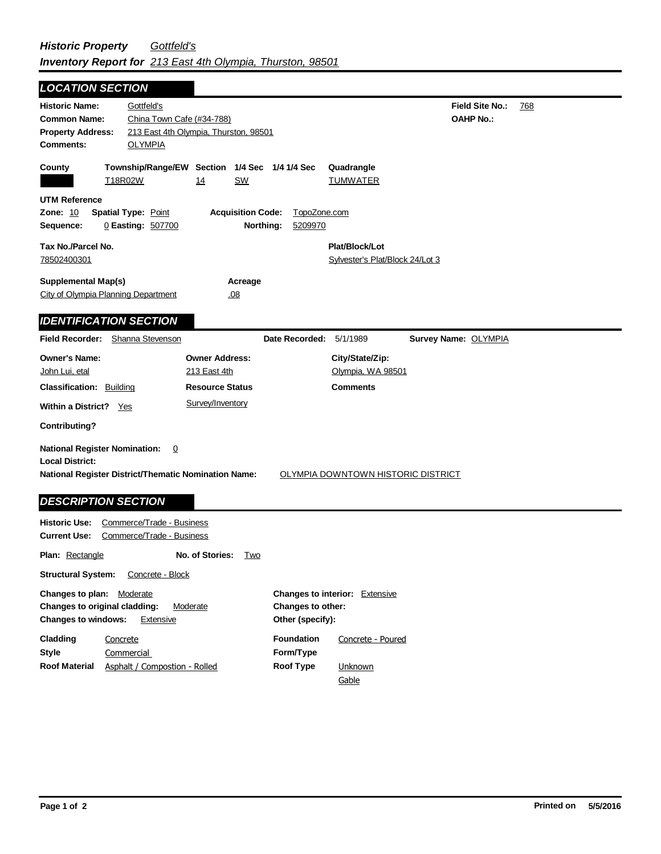| <b>LOCATION SECTION</b>                                                                                                                                                                                                    |                                                                                     |                                                                   |  |  |
|----------------------------------------------------------------------------------------------------------------------------------------------------------------------------------------------------------------------------|-------------------------------------------------------------------------------------|-------------------------------------------------------------------|--|--|
| Gottfeld's<br><b>Historic Name:</b><br><b>Common Name:</b><br><b>Property Address:</b><br><b>OLYMPIA</b><br>Comments:                                                                                                      | China Town Cafe (#34-788)<br>213 East 4th Olympia, Thurston, 98501                  | Field Site No.:<br>768<br><b>OAHP No.:</b>                        |  |  |
| County<br>T18R02W                                                                                                                                                                                                          | Township/Range/EW Section 1/4 Sec 1/4 1/4 Sec<br>SW<br><u> 14</u>                   | Quadrangle<br><b>TUMWATER</b>                                     |  |  |
| <b>UTM Reference</b><br><b>Spatial Type: Point</b><br><b>Zone: 10</b><br>Sequence:<br>0 Easting: 507700                                                                                                                    | <b>Acquisition Code:</b><br>Northing:                                               | TopoZone.com<br>5209970                                           |  |  |
| Tax No./Parcel No.<br>78502400301                                                                                                                                                                                          |                                                                                     | Plat/Block/Lot<br>Sylvester's Plat/Block 24/Lot 3                 |  |  |
| <b>Supplemental Map(s)</b><br><b>City of Olympia Planning Department</b>                                                                                                                                                   | Acreage<br>.08                                                                      |                                                                   |  |  |
| <b>IDENTIFICATION SECTION</b>                                                                                                                                                                                              |                                                                                     |                                                                   |  |  |
| <b>Field Recorder:</b><br>Shanna Stevenson                                                                                                                                                                                 |                                                                                     | Date Recorded:<br>5/1/1989<br>Survey Name: OLYMPIA                |  |  |
| <b>Owner's Name:</b><br>John Lui, etal<br><b>Classification: Building</b><br>Within a District? Yes                                                                                                                        | <b>Owner Address:</b><br>213 East 4th<br><b>Resource Status</b><br>Survey/Inventory | City/State/Zip:<br>Olympia, WA 98501<br><b>Comments</b>           |  |  |
| <b>Contributing?</b>                                                                                                                                                                                                       |                                                                                     |                                                                   |  |  |
| <b>National Register Nomination:</b><br>$\overline{0}$<br><b>Local District:</b><br><b>National Register District/Thematic Nomination Name:</b><br><b>OLYMPIA DOWNTOWN HISTORIC DISTRICT</b><br><b>DESCRIPTION SECTION</b> |                                                                                     |                                                                   |  |  |
| <b>Historic Use:</b>                                                                                                                                                                                                       | Commerce/Trade - Business                                                           |                                                                   |  |  |
| <b>Current Use:</b><br>Commerce/Trade - Business                                                                                                                                                                           |                                                                                     |                                                                   |  |  |
| <b>Plan: Rectangle</b>                                                                                                                                                                                                     | No. of Stories:<br>Two                                                              |                                                                   |  |  |
| <b>Structural System:</b><br>Concrete - Block                                                                                                                                                                              |                                                                                     |                                                                   |  |  |
| Changes to plan:<br><b>Moderate</b><br>Changes to original cladding:                                                                                                                                                       | Moderate                                                                            | <b>Changes to interior:</b> Extensive<br><b>Changes to other:</b> |  |  |

| <b>Changes to windows:</b> | Extensive                     | Other (specify):  |                   |
|----------------------------|-------------------------------|-------------------|-------------------|
| Cladding                   | Concrete                      | <b>Foundation</b> | Concrete - Poured |
| Style                      | Commercial                    | Form/Type         |                   |
| Roof Material              | Asphalt / Compostion - Rolled | Roof Type         | Unknown           |
|                            |                               |                   | Gable             |

 $\blacksquare$